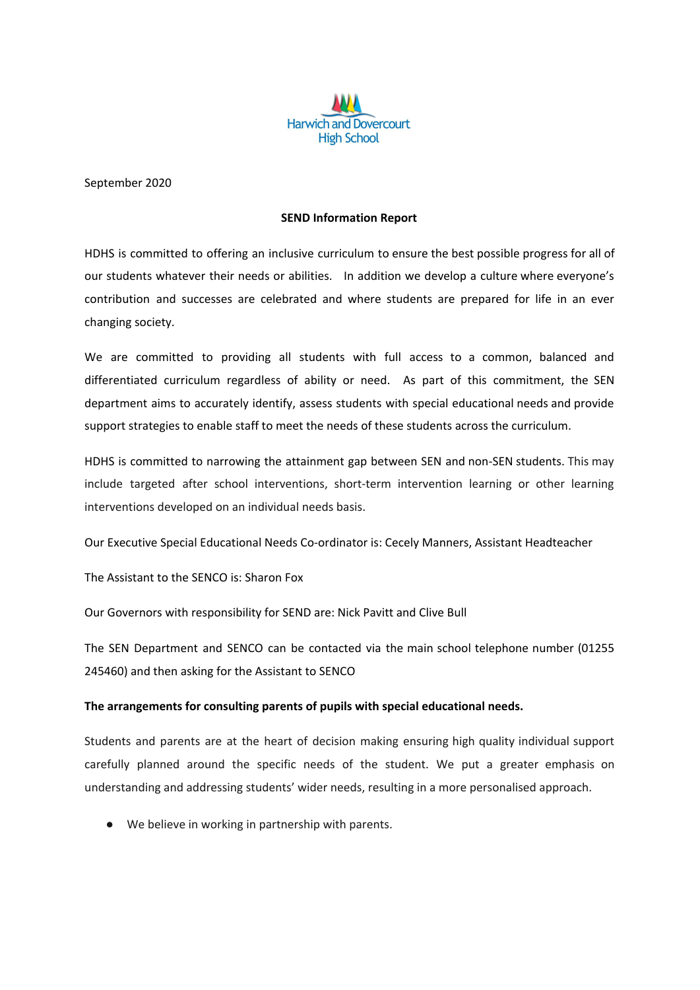

September 2020

#### **SEND Information Report**

HDHS is committed to offering an inclusive curriculum to ensure the best possible progress for all of our students whatever their needs or abilities. In addition we develop a culture where everyone's contribution and successes are celebrated and where students are prepared for life in an ever changing society.

We are committed to providing all students with full access to a common, balanced and differentiated curriculum regardless of ability or need. As part of this commitment, the SEN department aims to accurately identify, assess students with special educational needs and provide support strategies to enable staff to meet the needs of these students across the curriculum.

HDHS is committed to narrowing the attainment gap between SEN and non-SEN students. This may include targeted after school interventions, short-term intervention learning or other learning interventions developed on an individual needs basis.

Our Executive Special Educational Needs Co-ordinator is: Cecely Manners, Assistant Headteacher

The Assistant to the SENCO is: Sharon Fox

Our Governors with responsibility for SEND are: Nick Pavitt and Clive Bull

The SEN Department and SENCO can be contacted via the main school telephone number (01255 245460) and then asking for the Assistant to SENCO

## **The arrangements for consulting parents of pupils with special educational needs.**

Students and parents are at the heart of decision making ensuring high quality individual support carefully planned around the specific needs of the student. We put a greater emphasis on understanding and addressing students' wider needs, resulting in a more personalised approach.

● We believe in working in partnership with parents.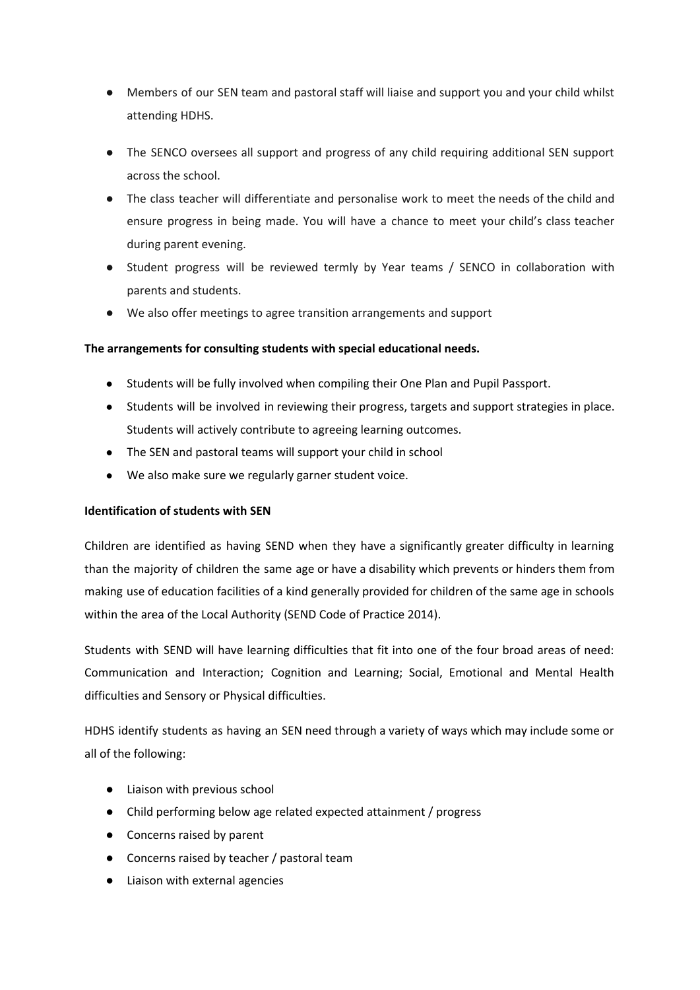- Members of our SEN team and pastoral staff will liaise and support you and your child whilst attending HDHS.
- The SENCO oversees all support and progress of any child requiring additional SEN support across the school.
- The class teacher will differentiate and personalise work to meet the needs of the child and ensure progress in being made. You will have a chance to meet your child's class teacher during parent evening.
- Student progress will be reviewed termly by Year teams / SENCO in collaboration with parents and students.
- We also offer meetings to agree transition arrangements and support

# **The arrangements for consulting students with special educational needs.**

- **●** Students will be fully involved when compiling their One Plan and Pupil Passport.
- **●** Students will be involved in reviewing their progress, targets and support strategies in place. Students will actively contribute to agreeing learning outcomes.
- **●** The SEN and pastoral teams will support your child in school
- **●** We also make sure we regularly garner student voice.

# **Identification of students with SEN**

Children are identified as having SEND when they have a significantly greater difficulty in learning than the majority of children the same age or have a disability which prevents or hinders them from making use of education facilities of a kind generally provided for children of the same age in schools within the area of the Local Authority (SEND Code of Practice 2014).

Students with SEND will have learning difficulties that fit into one of the four broad areas of need: Communication and Interaction; Cognition and Learning; Social, Emotional and Mental Health difficulties and Sensory or Physical difficulties.

HDHS identify students as having an SEN need through a variety of ways which may include some or all of the following:

- Liaison with previous school
- Child performing below age related expected attainment / progress
- Concerns raised by parent
- Concerns raised by teacher / pastoral team
- Liaison with external agencies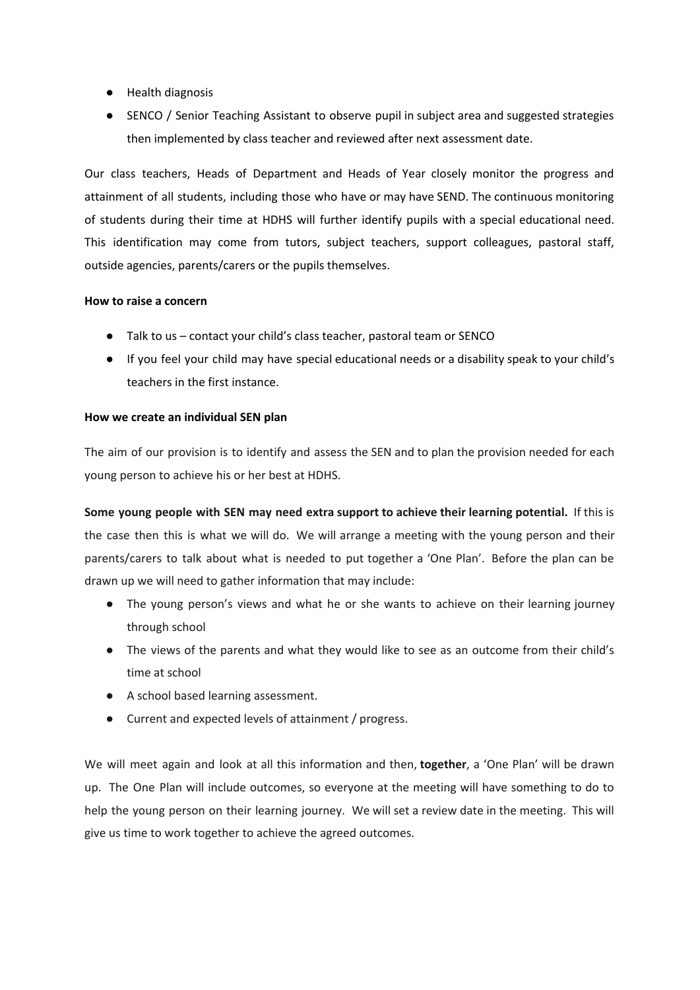- Health diagnosis
- SENCO / Senior Teaching Assistant to observe pupil in subject area and suggested strategies then implemented by class teacher and reviewed after next assessment date.

Our class teachers, Heads of Department and Heads of Year closely monitor the progress and attainment of all students, including those who have or may have SEND. The continuous monitoring of students during their time at HDHS will further identify pupils with a special educational need. This identification may come from tutors, subject teachers, support colleagues, pastoral staff, outside agencies, parents/carers or the pupils themselves.

## **How to raise a concern**

- Talk to us contact your child's class teacher, pastoral team or SENCO
- If you feel your child may have special educational needs or a disability speak to your child's teachers in the first instance.

## **How we create an individual SEN plan**

The aim of our provision is to identify and assess the SEN and to plan the provision needed for each young person to achieve his or her best at HDHS.

**Some young people with SEN may need extra support to achieve their learning potential.** If this is the case then this is what we will do. We will arrange a meeting with the young person and their parents/carers to talk about what is needed to put together a 'One Plan'. Before the plan can be drawn up we will need to gather information that may include:

- The young person's views and what he or she wants to achieve on their learning journey through school
- The views of the parents and what they would like to see as an outcome from their child's time at school
- A school based learning assessment.
- Current and expected levels of attainment / progress.

We will meet again and look at all this information and then, **together**, a 'One Plan' will be drawn up. The One Plan will include outcomes, so everyone at the meeting will have something to do to help the young person on their learning journey. We will set a review date in the meeting. This will give us time to work together to achieve the agreed outcomes.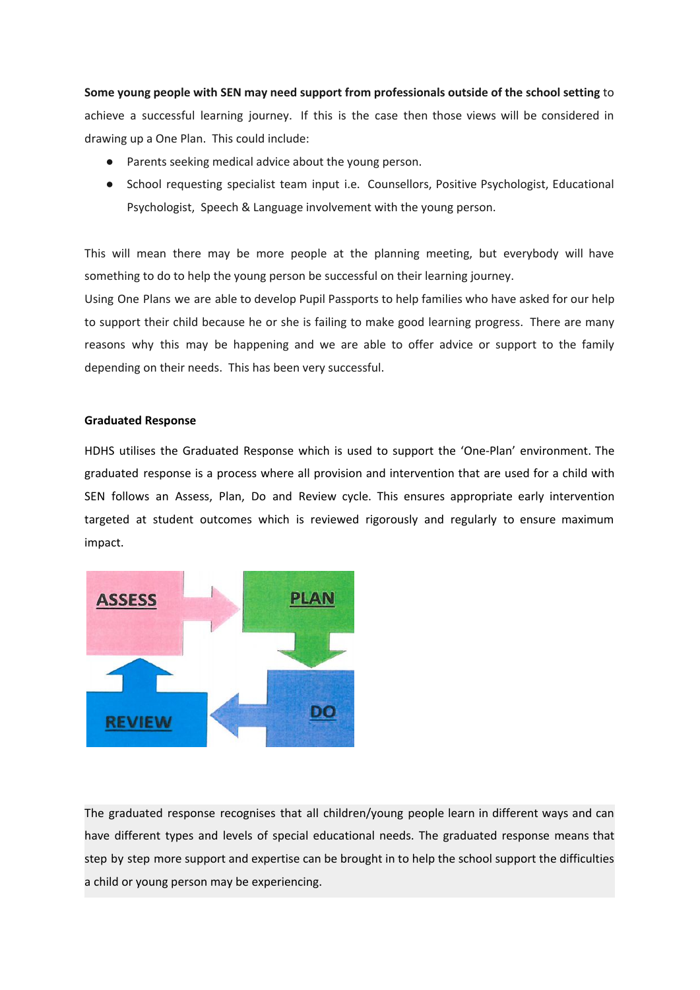**Some young people with SEN may need support from professionals outside of the school setting** to achieve a successful learning journey. If this is the case then those views will be considered in drawing up a One Plan. This could include:

- Parents seeking medical advice about the young person.
- School requesting specialist team input i.e. Counsellors, Positive Psychologist, Educational Psychologist, Speech & Language involvement with the young person.

This will mean there may be more people at the planning meeting, but everybody will have something to do to help the young person be successful on their learning journey.

Using One Plans we are able to develop Pupil Passports to help families who have asked for our help to support their child because he or she is failing to make good learning progress. There are many reasons why this may be happening and we are able to offer advice or support to the family depending on their needs. This has been very successful.

#### **Graduated Response**

HDHS utilises the Graduated Response which is used to support the 'One-Plan' environment. The graduated response is a process where all provision and intervention that are used for a child with SEN follows an Assess, Plan, Do and Review cycle. This ensures appropriate early intervention targeted at student outcomes which is reviewed rigorously and regularly to ensure maximum impact.



The graduated response recognises that all children/young people learn in different ways and can have different types and levels of special educational needs. The graduated response means that step by step more support and expertise can be brought in to help the school support the difficulties a child or young person may be experiencing.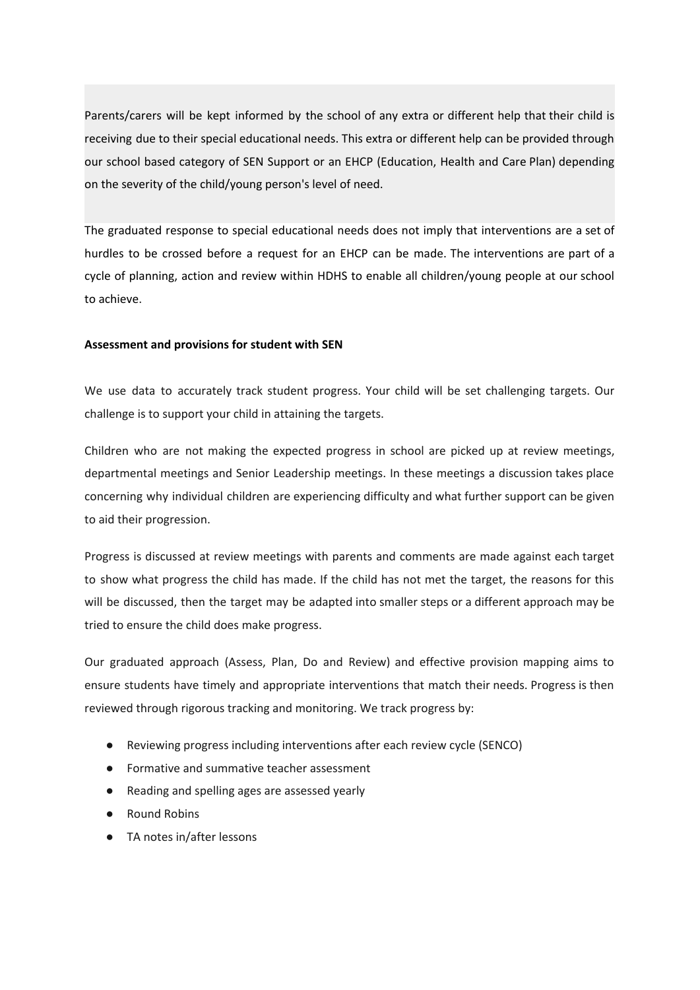Parents/carers will be kept informed by the school of any extra or different help that their child is receiving due to their special educational needs. This extra or different help can be provided through our school based category of SEN Support or an EHCP (Education, Health and Care Plan) depending on the severity of the child/young person's level of need.

The graduated response to special educational needs does not imply that interventions are a set of hurdles to be crossed before a request for an EHCP can be made. The interventions are part of a cycle of planning, action and review within HDHS to enable all children/young people at our school to achieve.

#### **Assessment and provisions for student with SEN**

We use data to accurately track student progress. Your child will be set challenging targets. Our challenge is to support your child in attaining the targets.

Children who are not making the expected progress in school are picked up at review meetings, departmental meetings and Senior Leadership meetings. In these meetings a discussion takes place concerning why individual children are experiencing difficulty and what further support can be given to aid their progression.

Progress is discussed at review meetings with parents and comments are made against each target to show what progress the child has made. If the child has not met the target, the reasons for this will be discussed, then the target may be adapted into smaller steps or a different approach may be tried to ensure the child does make progress.

Our graduated approach (Assess, Plan, Do and Review) and effective provision mapping aims to ensure students have timely and appropriate interventions that match their needs. Progress is then reviewed through rigorous tracking and monitoring. We track progress by:

- Reviewing progress including interventions after each review cycle (SENCO)
- Formative and summative teacher assessment
- Reading and spelling ages are assessed yearly
- **Round Robins**
- TA notes in/after lessons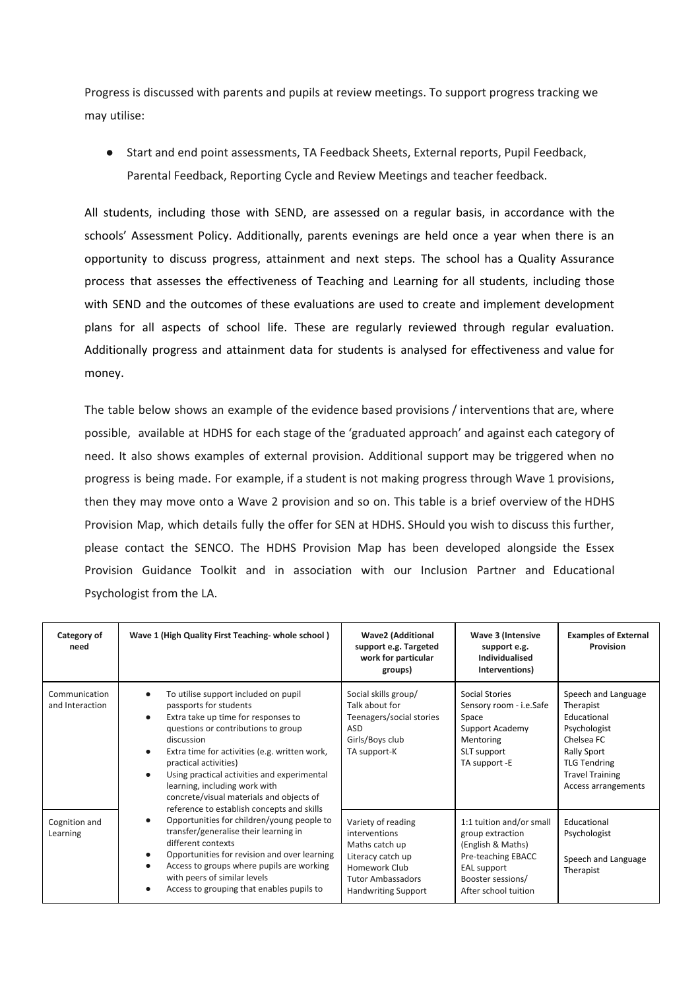Progress is discussed with parents and pupils at review meetings. To support progress tracking we may utilise:

● Start and end point assessments, TA Feedback Sheets, External reports, Pupil Feedback, Parental Feedback, Reporting Cycle and Review Meetings and teacher feedback.

All students, including those with SEND, are assessed on a regular basis, in accordance with the schools' Assessment Policy. Additionally, parents evenings are held once a year when there is an opportunity to discuss progress, attainment and next steps. The school has a Quality Assurance process that assesses the effectiveness of Teaching and Learning for all students, including those with SEND and the outcomes of these evaluations are used to create and implement development plans for all aspects of school life. These are regularly reviewed through regular evaluation. Additionally progress and attainment data for students is analysed for effectiveness and value for money.

The table below shows an example of the evidence based provisions / interventions that are, where possible, available at HDHS for each stage of the 'graduated approach' and against each category of need. It also shows examples of external provision. Additional support may be triggered when no progress is being made. For example, if a student is not making progress through Wave 1 provisions, then they may move onto a Wave 2 provision and so on. This table is a brief overview of the HDHS Provision Map, which details fully the offer for SEN at HDHS. SHould you wish to discuss this further, please contact the SENCO. The HDHS Provision Map has been developed alongside the Essex Provision Guidance Toolkit and in association with our Inclusion Partner and Educational Psychologist from the LA.

| Category of<br>need              | Wave 1 (High Quality First Teaching-whole school)                                                                                                                                                                                                                                                                                                                                                                                                                                                                                                                                                                                                                                                     | <b>Wave2 (Additional</b><br>support e.g. Targeted<br>work for particular<br>groups)                                                                   | Wave 3 (Intensive<br>support e.g.<br><b>Individualised</b><br>Interventions)                                                                        | <b>Examples of External</b><br>Provision                                                                                                                             |
|----------------------------------|-------------------------------------------------------------------------------------------------------------------------------------------------------------------------------------------------------------------------------------------------------------------------------------------------------------------------------------------------------------------------------------------------------------------------------------------------------------------------------------------------------------------------------------------------------------------------------------------------------------------------------------------------------------------------------------------------------|-------------------------------------------------------------------------------------------------------------------------------------------------------|-----------------------------------------------------------------------------------------------------------------------------------------------------|----------------------------------------------------------------------------------------------------------------------------------------------------------------------|
| Communication<br>and Interaction | To utilise support included on pupil<br>passports for students<br>Extra take up time for responses to<br>questions or contributions to group<br>discussion<br>Extra time for activities (e.g. written work,<br>practical activities)<br>Using practical activities and experimental<br>learning, including work with<br>concrete/visual materials and objects of<br>reference to establish concepts and skills<br>Opportunities for children/young people to<br>transfer/generalise their learning in<br>different contexts<br>Opportunities for revision and over learning<br>Access to groups where pupils are working<br>with peers of similar levels<br>Access to grouping that enables pupils to | Social skills group/<br>Talk about for<br>Teenagers/social stories<br>ASD<br>Girls/Boys club<br>TA support-K                                          | Social Stories<br>Sensory room - i.e.Safe<br>Space<br>Support Academy<br>Mentoring<br>SLT support<br>TA support -E                                  | Speech and Language<br>Therapist<br>Educational<br>Psychologist<br>Chelsea FC<br>Rally Sport<br><b>TLG Tendring</b><br><b>Travel Training</b><br>Access arrangements |
| Cognition and<br>Learning        |                                                                                                                                                                                                                                                                                                                                                                                                                                                                                                                                                                                                                                                                                                       | Variety of reading<br>interventions<br>Maths catch up<br>Literacy catch up<br>Homework Club<br><b>Tutor Ambassadors</b><br><b>Handwriting Support</b> | 1:1 tuition and/or small<br>group extraction<br>(English & Maths)<br>Pre-teaching EBACC<br>EAL support<br>Booster sessions/<br>After school tuition | Educational<br>Psychologist<br>Speech and Language<br>Therapist                                                                                                      |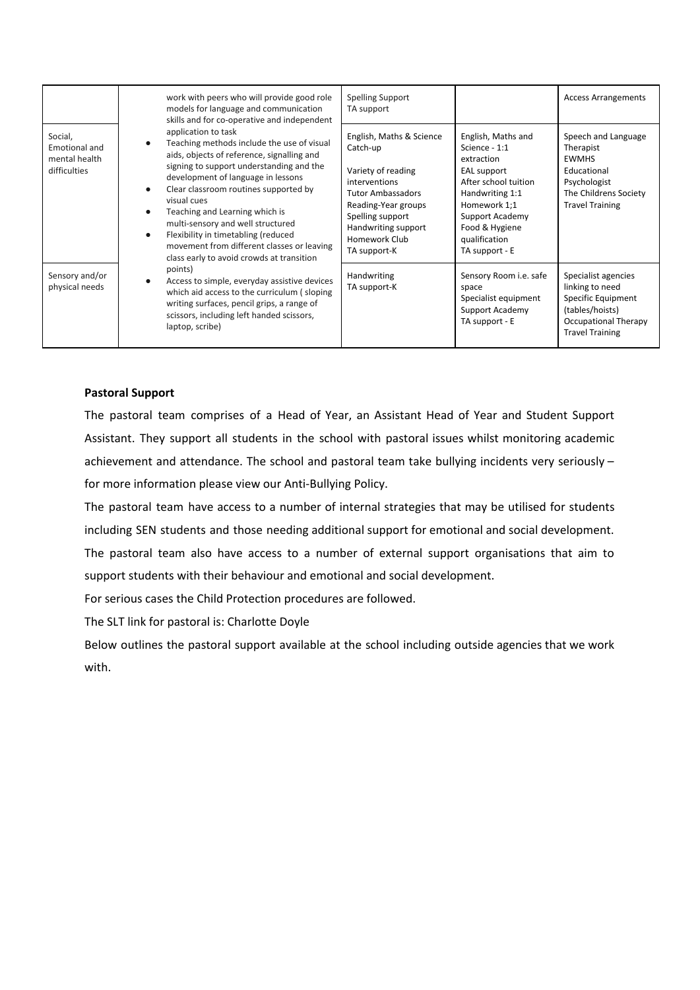|                                                           | work with peers who will provide good role<br>models for language and communication<br>skills and for co-operative and independent                                                                                                                                                                                                                                                                                                                                 | <b>Spelling Support</b><br>TA support                                                                                                                                                                      |                                                                                                                                                                                                     | <b>Access Arrangements</b>                                                                                                               |
|-----------------------------------------------------------|--------------------------------------------------------------------------------------------------------------------------------------------------------------------------------------------------------------------------------------------------------------------------------------------------------------------------------------------------------------------------------------------------------------------------------------------------------------------|------------------------------------------------------------------------------------------------------------------------------------------------------------------------------------------------------------|-----------------------------------------------------------------------------------------------------------------------------------------------------------------------------------------------------|------------------------------------------------------------------------------------------------------------------------------------------|
| Social,<br>Emotional and<br>mental health<br>difficulties | application to task<br>Teaching methods include the use of visual<br>aids, objects of reference, signalling and<br>signing to support understanding and the<br>development of language in lessons<br>Clear classroom routines supported by<br>visual cues<br>Teaching and Learning which is<br>multi-sensory and well structured<br>Flexibility in timetabling (reduced<br>movement from different classes or leaving<br>class early to avoid crowds at transition | English, Maths & Science<br>Catch-up<br>Variety of reading<br>interventions<br><b>Tutor Ambassadors</b><br>Reading-Year groups<br>Spelling support<br>Handwriting support<br>Homework Club<br>TA support-K | English, Maths and<br>Science - 1:1<br>extraction<br>EAL support<br>After school tuition<br>Handwriting 1:1<br>Homework 1;1<br>Support Academy<br>Food & Hygiene<br>qualification<br>TA support - E | Speech and Language<br>Therapist<br><b>EWMHS</b><br>Educational<br>Psychologist<br>The Childrens Society<br><b>Travel Training</b>       |
| Sensory and/or<br>physical needs                          | points)<br>Access to simple, everyday assistive devices<br>which aid access to the curriculum (sloping<br>writing surfaces, pencil grips, a range of<br>scissors, including left handed scissors,<br>laptop, scribe)                                                                                                                                                                                                                                               | Handwriting<br>TA support-K                                                                                                                                                                                | Sensory Room i.e. safe<br>space<br>Specialist equipment<br>Support Academy<br>TA support - E                                                                                                        | Specialist agencies<br>linking to need<br>Specific Equipment<br>(tables/hoists)<br><b>Occupational Therapy</b><br><b>Travel Training</b> |

## **Pastoral Support**

The pastoral team comprises of a Head of Year, an Assistant Head of Year and Student Support Assistant. They support all students in the school with pastoral issues whilst monitoring academic achievement and attendance. The school and pastoral team take bullying incidents very seriously – for more information please view our Anti-Bullying Policy.

The pastoral team have access to a number of internal strategies that may be utilised for students including SEN students and those needing additional support for emotional and social development. The pastoral team also have access to a number of external support organisations that aim to support students with their behaviour and emotional and social development.

For serious cases the Child Protection procedures are followed.

The SLT link for pastoral is: Charlotte Doyle

Below outlines the pastoral support available at the school including outside agencies that we work with.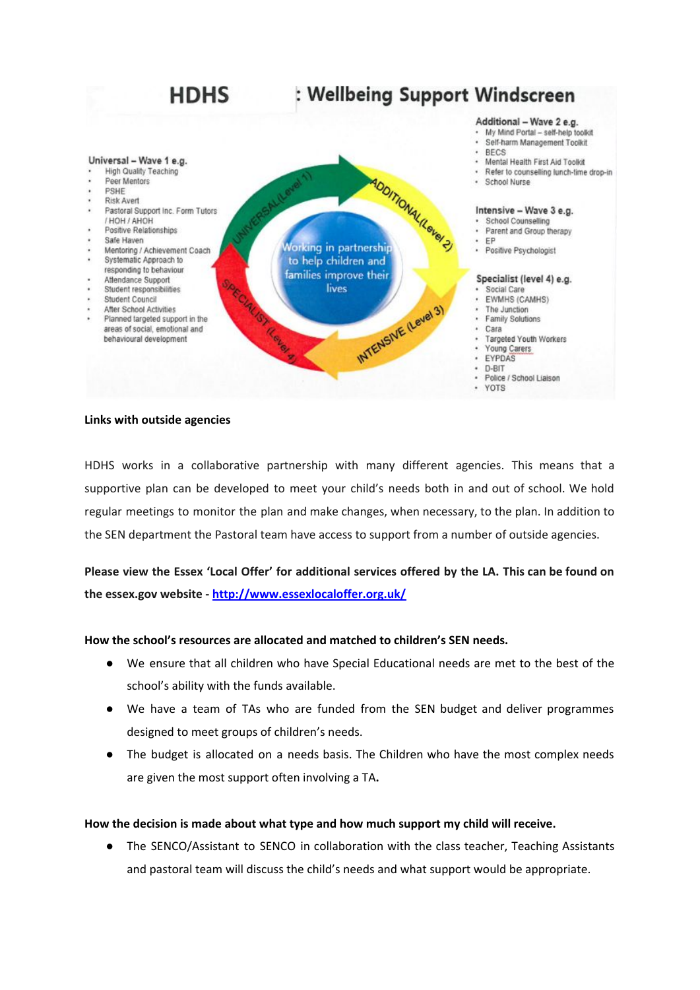

#### **Links with outside agencies**

HDHS works in a collaborative partnership with many different agencies. This means that a supportive plan can be developed to meet your child's needs both in and out of school. We hold regular meetings to monitor the plan and make changes, when necessary, to the plan. In addition to the SEN department the Pastoral team have access to support from a number of outside agencies.

Please view the Essex 'Local Offer' for additional services offered by the LA. This can be found on **the essex.gov website - <http://www.essexlocaloffer.org.uk/>**

## **How the school's resources are allocated and matched to children's SEN needs.**

- We ensure that all children who have Special Educational needs are met to the best of the school's ability with the funds available.
- We have a team of TAs who are funded from the SEN budget and deliver programmes designed to meet groups of children's needs.
- **●** The budget is allocated on a needs basis. The Children who have the most complex needs are given the most support often involving a TA**.**

#### **How the decision is made about what type and how much support my child will receive.**

● The SENCO/Assistant to SENCO in collaboration with the class teacher, Teaching Assistants and pastoral team will discuss the child's needs and what support would be appropriate.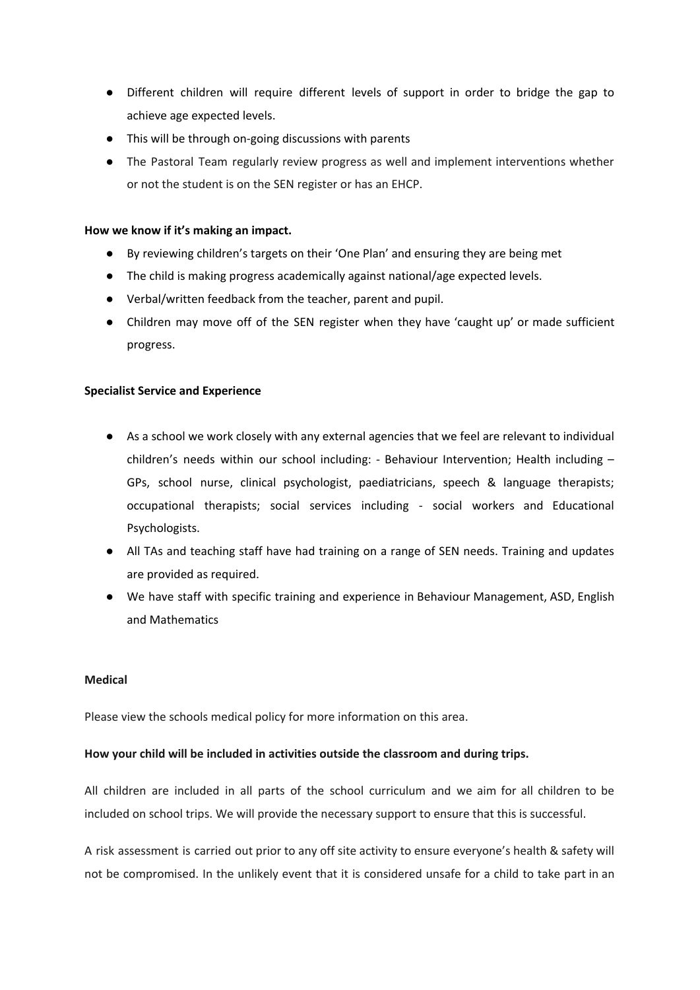- Different children will require different levels of support in order to bridge the gap to achieve age expected levels.
- This will be through on-going discussions with parents
- The Pastoral Team regularly review progress as well and implement interventions whether or not the student is on the SEN register or has an EHCP.

## **How we know if it's making an impact.**

- By reviewing children's targets on their 'One Plan' and ensuring they are being met
- The child is making progress academically against national/age expected levels.
- Verbal/written feedback from the teacher, parent and pupil.
- Children may move off of the SEN register when they have 'caught up' or made sufficient progress.

# **Specialist Service and Experience**

- As a school we work closely with any external agencies that we feel are relevant to individual children's needs within our school including: - Behaviour Intervention; Health including – GPs, school nurse, clinical psychologist, paediatricians, speech & language therapists; occupational therapists; social services including - social workers and Educational Psychologists.
- All TAs and teaching staff have had training on a range of SEN needs. Training and updates are provided as required.
- We have staff with specific training and experience in Behaviour Management, ASD, English and Mathematics

## **Medical**

Please view the schools medical policy for more information on this area.

## **How your child will be included in activities outside the classroom and during trips.**

All children are included in all parts of the school curriculum and we aim for all children to be included on school trips. We will provide the necessary support to ensure that this is successful.

A risk assessment is carried out prior to any off site activity to ensure everyone's health & safety will not be compromised. In the unlikely event that it is considered unsafe for a child to take part in an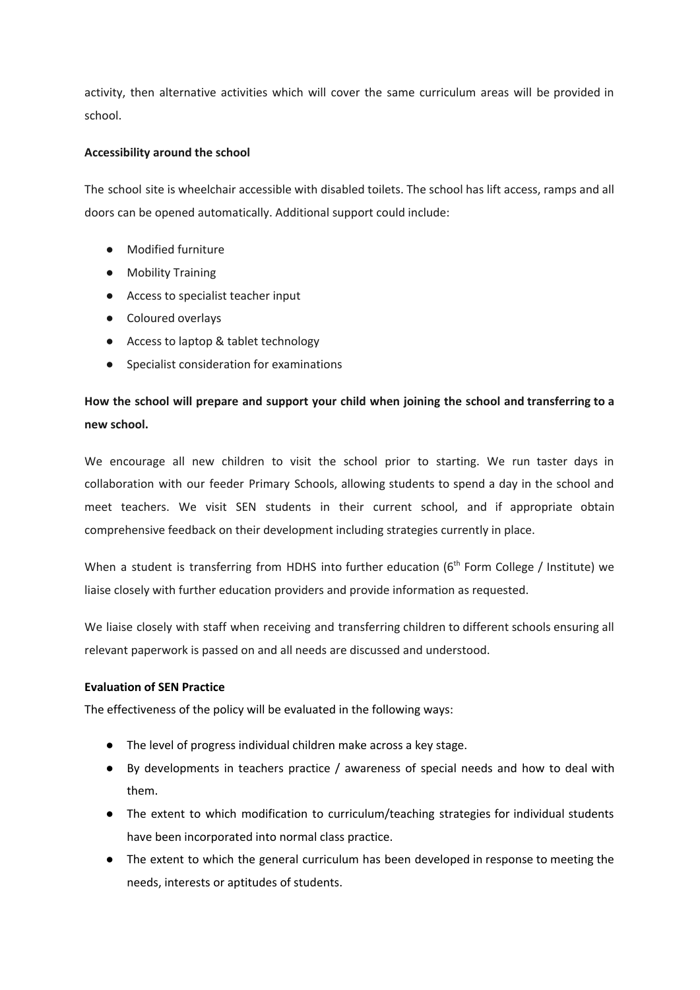activity, then alternative activities which will cover the same curriculum areas will be provided in school.

## **Accessibility around the school**

The school site is wheelchair accessible with disabled toilets. The school has lift access, ramps and all doors can be opened automatically. Additional support could include:

- Modified furniture
- Mobility Training
- Access to specialist teacher input
- Coloured overlays
- Access to laptop & tablet technology
- Specialist consideration for examinations

# **How the school will prepare and support your child when joining the school and transferring to a new school.**

We encourage all new children to visit the school prior to starting. We run taster days in collaboration with our feeder Primary Schools, allowing students to spend a day in the school and meet teachers. We visit SEN students in their current school, and if appropriate obtain comprehensive feedback on their development including strategies currently in place.

When a student is transferring from HDHS into further education (6<sup>th</sup> Form College / Institute) we liaise closely with further education providers and provide information as requested.

We liaise closely with staff when receiving and transferring children to different schools ensuring all relevant paperwork is passed on and all needs are discussed and understood.

## **Evaluation of SEN Practice**

The effectiveness of the policy will be evaluated in the following ways:

- The level of progress individual children make across a key stage.
- By developments in teachers practice / awareness of special needs and how to deal with them.
- The extent to which modification to curriculum/teaching strategies for individual students have been incorporated into normal class practice.
- The extent to which the general curriculum has been developed in response to meeting the needs, interests or aptitudes of students.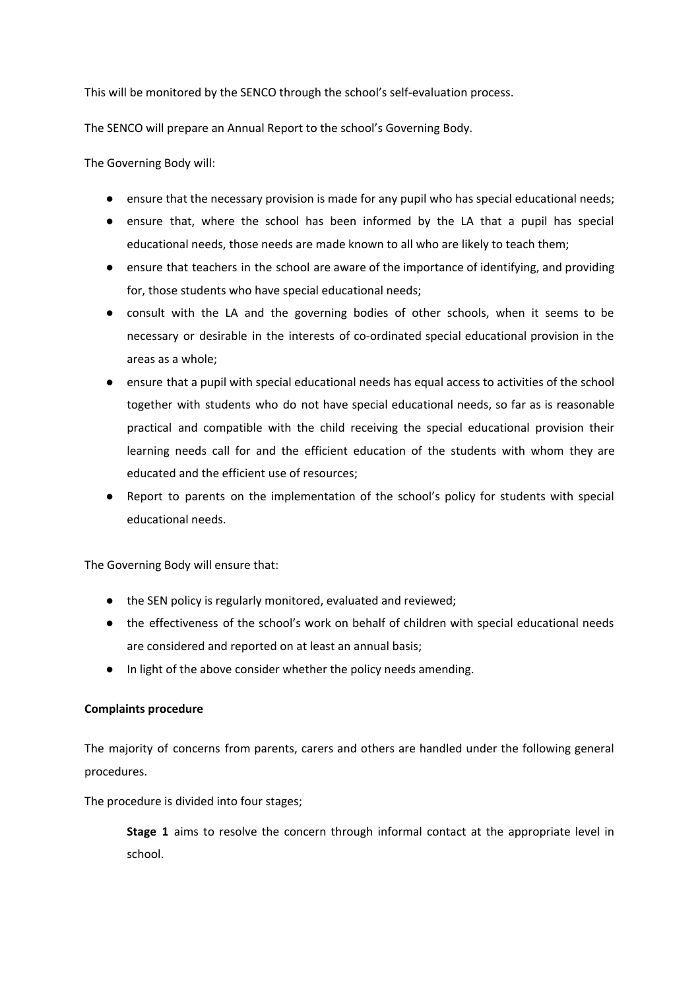This will be monitored by the SENCO through the school's self-evaluation process.

The SENCO will prepare an Annual Report to the school's Governing Body.

The Governing Body will:

- ensure that the necessary provision is made for any pupil who has special educational needs;
- ensure that, where the school has been informed by the LA that a pupil has special educational needs, those needs are made known to all who are likely to teach them;
- ensure that teachers in the school are aware of the importance of identifying, and providing for, those students who have special educational needs;
- consult with the LA and the governing bodies of other schools, when it seems to be necessary or desirable in the interests of co-ordinated special educational provision in the areas as a whole;
- ensure that a pupil with special educational needs has equal access to activities of the school together with students who do not have special educational needs, so far as is reasonable practical and compatible with the child receiving the special educational provision their learning needs call for and the efficient education of the students with whom they are educated and the efficient use of resources;
- Report to parents on the implementation of the school's policy for students with special educational needs.

The Governing Body will ensure that:

- the SEN policy is regularly monitored, evaluated and reviewed;
- the effectiveness of the school's work on behalf of children with special educational needs are considered and reported on at least an annual basis;
- In light of the above consider whether the policy needs amending.

## **Complaints procedure**

The majority of concerns from parents, carers and others are handled under the following general procedures.

The procedure is divided into four stages;

**Stage 1** aims to resolve the concern through informal contact at the appropriate level in school.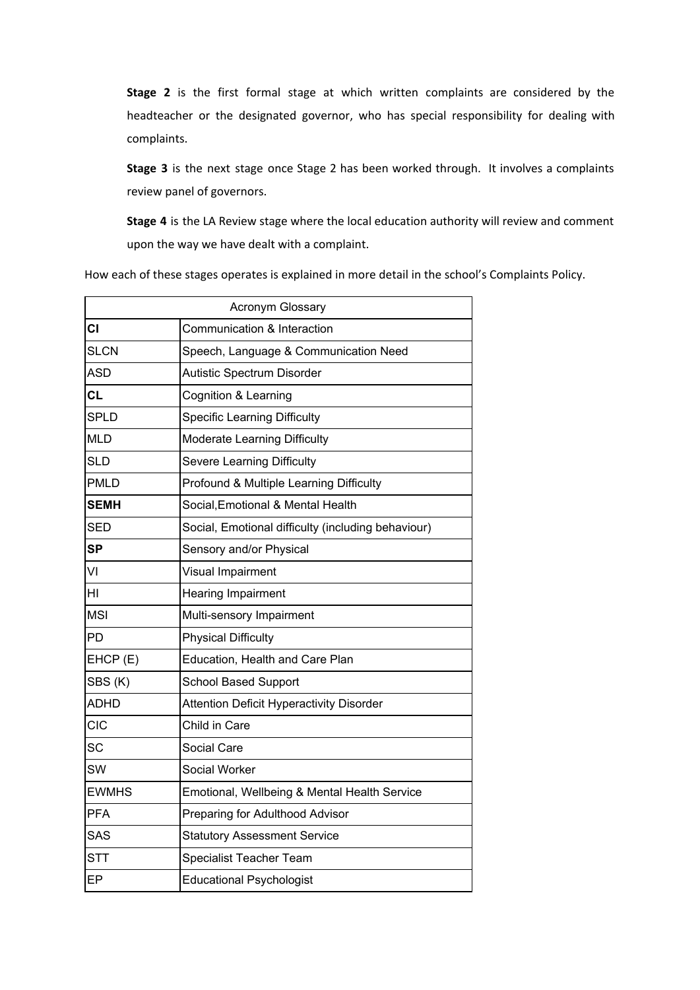**Stage 2** is the first formal stage at which written complaints are considered by the headteacher or the designated governor, who has special responsibility for dealing with complaints.

**Stage 3** is the next stage once Stage 2 has been worked through. It involves a complaints review panel of governors.

**Stage 4** is the LA Review stage where the local education authority will review and comment upon the way we have dealt with a complaint.

How each of these stages operates is explained in more detail in the school's Complaints Policy.

|              | Acronym Glossary                                   |
|--------------|----------------------------------------------------|
| CI           | Communication & Interaction                        |
| <b>SLCN</b>  | Speech, Language & Communication Need              |
| <b>ASD</b>   | Autistic Spectrum Disorder                         |
| <b>CL</b>    | Cognition & Learning                               |
| <b>SPLD</b>  | <b>Specific Learning Difficulty</b>                |
| <b>MLD</b>   | Moderate Learning Difficulty                       |
| <b>SLD</b>   | <b>Severe Learning Difficulty</b>                  |
| <b>PMLD</b>  | Profound & Multiple Learning Difficulty            |
| <b>SEMH</b>  | Social, Emotional & Mental Health                  |
| <b>SED</b>   | Social, Emotional difficulty (including behaviour) |
| <b>SP</b>    | Sensory and/or Physical                            |
| VI           | Visual Impairment                                  |
| HI           | <b>Hearing Impairment</b>                          |
| <b>MSI</b>   | Multi-sensory Impairment                           |
| PD           | <b>Physical Difficulty</b>                         |
| EHCP (E)     | Education, Health and Care Plan                    |
| SBS(K)       | <b>School Based Support</b>                        |
| <b>ADHD</b>  | <b>Attention Deficit Hyperactivity Disorder</b>    |
| CIC          | Child in Care                                      |
| SC           | Social Care                                        |
| SW           | Social Worker                                      |
| <b>EWMHS</b> | Emotional, Wellbeing & Mental Health Service       |
| <b>PFA</b>   | Preparing for Adulthood Advisor                    |
| <b>SAS</b>   | <b>Statutory Assessment Service</b>                |
| <b>STT</b>   | Specialist Teacher Team                            |
| EP           | <b>Educational Psychologist</b>                    |